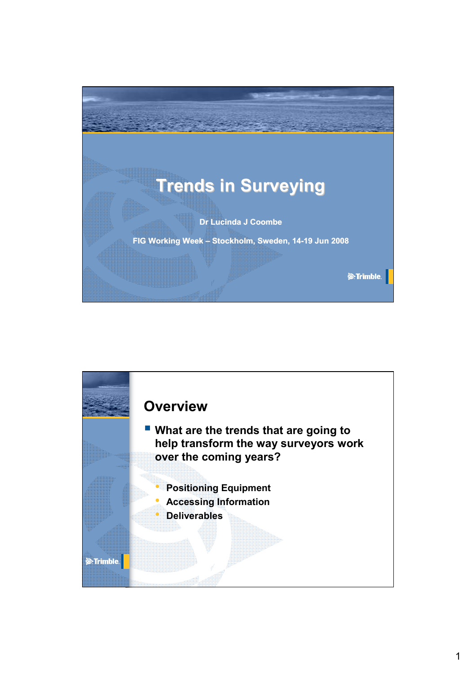

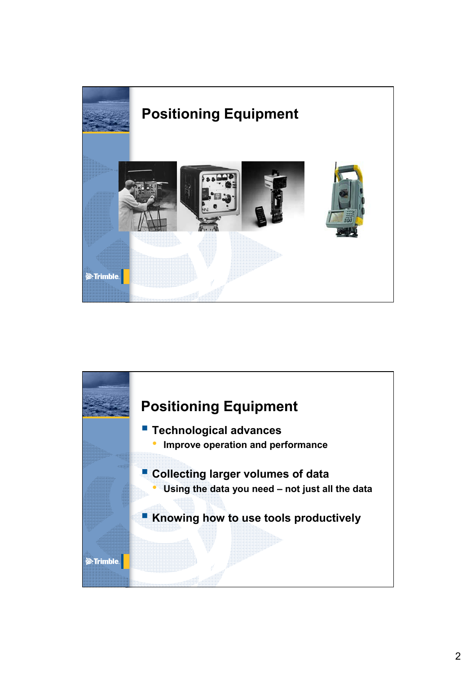

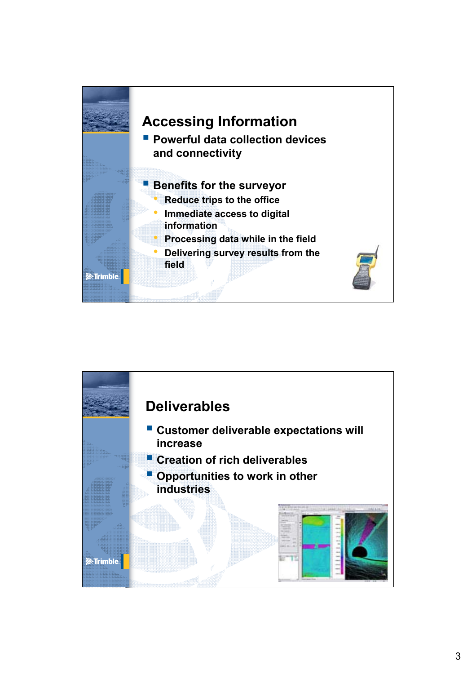